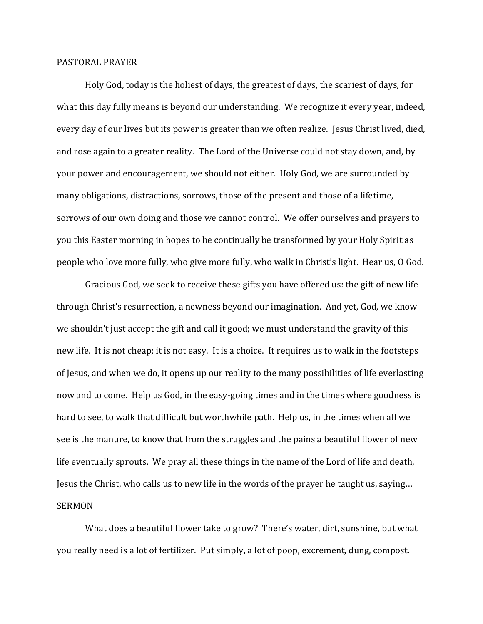## PASTORAL PRAYER

Holy God, today is the holiest of days, the greatest of days, the scariest of days, for what this day fully means is beyond our understanding. We recognize it every year, indeed, every day of our lives but its power is greater than we often realize. Jesus Christ lived, died, and rose again to a greater reality. The Lord of the Universe could not stay down, and, by your power and encouragement, we should not either. Holy God, we are surrounded by many obligations, distractions, sorrows, those of the present and those of a lifetime, sorrows of our own doing and those we cannot control. We offer ourselves and prayers to you this Easter morning in hopes to be continually be transformed by your Holy Spirit as people who love more fully, who give more fully, who walk in Christ's light. Hear us, O God.

Gracious God, we seek to receive these gifts you have offered us: the gift of new life through Christ's resurrection, a newness beyond our imagination. And yet, God, we know we shouldn't just accept the gift and call it good; we must understand the gravity of this new life. It is not cheap; it is not easy. It is a choice. It requires us to walk in the footsteps of Jesus, and when we do, it opens up our reality to the many possibilities of life everlasting now and to come. Help us God, in the easy-going times and in the times where goodness is hard to see, to walk that difficult but worthwhile path. Help us, in the times when all we see is the manure, to know that from the struggles and the pains a beautiful flower of new life eventually sprouts. We pray all these things in the name of the Lord of life and death, Jesus the Christ, who calls us to new life in the words of the prayer he taught us, saying… SERMON

What does a beautiful flower take to grow? There's water, dirt, sunshine, but what you really need is a lot of fertilizer. Put simply, a lot of poop, excrement, dung, compost.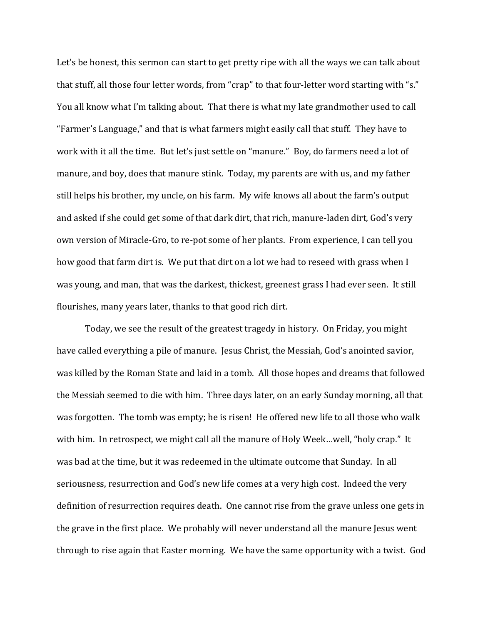Let's be honest, this sermon can start to get pretty ripe with all the ways we can talk about that stuff, all those four letter words, from "crap" to that four-letter word starting with "s." You all know what I'm talking about. That there is what my late grandmother used to call "Farmer's Language," and that is what farmers might easily call that stuff. They have to work with it all the time. But let's just settle on "manure." Boy, do farmers need a lot of manure, and boy, does that manure stink. Today, my parents are with us, and my father still helps his brother, my uncle, on his farm. My wife knows all about the farm's output and asked if she could get some of that dark dirt, that rich, manure-laden dirt, God's very own version of Miracle-Gro, to re-pot some of her plants. From experience, I can tell you how good that farm dirt is. We put that dirt on a lot we had to reseed with grass when I was young, and man, that was the darkest, thickest, greenest grass I had ever seen. It still flourishes, many years later, thanks to that good rich dirt.

Today, we see the result of the greatest tragedy in history. On Friday, you might have called everything a pile of manure. Jesus Christ, the Messiah, God's anointed savior, was killed by the Roman State and laid in a tomb. All those hopes and dreams that followed the Messiah seemed to die with him. Three days later, on an early Sunday morning, all that was forgotten. The tomb was empty; he is risen! He offered new life to all those who walk with him. In retrospect, we might call all the manure of Holy Week…well, "holy crap." It was bad at the time, but it was redeemed in the ultimate outcome that Sunday. In all seriousness, resurrection and God's new life comes at a very high cost. Indeed the very definition of resurrection requires death. One cannot rise from the grave unless one gets in the grave in the first place. We probably will never understand all the manure Jesus went through to rise again that Easter morning. We have the same opportunity with a twist. God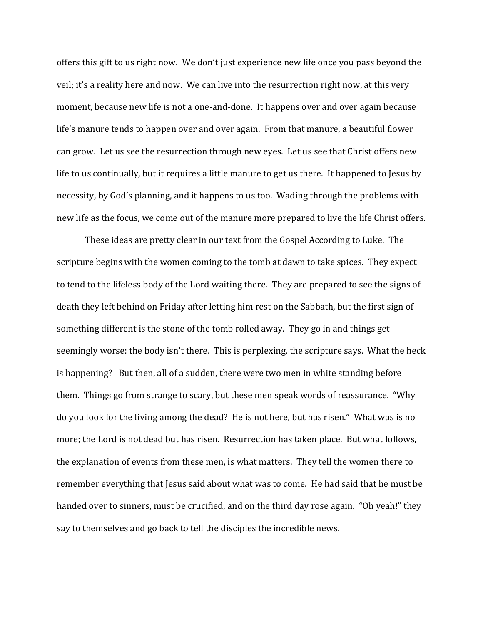offers this gift to us right now. We don't just experience new life once you pass beyond the veil; it's a reality here and now. We can live into the resurrection right now, at this very moment, because new life is not a one-and-done. It happens over and over again because life's manure tends to happen over and over again. From that manure, a beautiful flower can grow. Let us see the resurrection through new eyes. Let us see that Christ offers new life to us continually, but it requires a little manure to get us there. It happened to Jesus by necessity, by God's planning, and it happens to us too. Wading through the problems with new life as the focus, we come out of the manure more prepared to live the life Christ offers.

These ideas are pretty clear in our text from the Gospel According to Luke. The scripture begins with the women coming to the tomb at dawn to take spices. They expect to tend to the lifeless body of the Lord waiting there. They are prepared to see the signs of death they left behind on Friday after letting him rest on the Sabbath, but the first sign of something different is the stone of the tomb rolled away. They go in and things get seemingly worse: the body isn't there. This is perplexing, the scripture says. What the heck is happening? But then, all of a sudden, there were two men in white standing before them. Things go from strange to scary, but these men speak words of reassurance. "Why do you look for the living among the dead? He is not here, but has risen." What was is no more; the Lord is not dead but has risen. Resurrection has taken place. But what follows, the explanation of events from these men, is what matters. They tell the women there to remember everything that Jesus said about what was to come. He had said that he must be handed over to sinners, must be crucified, and on the third day rose again. "Oh yeah!" they say to themselves and go back to tell the disciples the incredible news.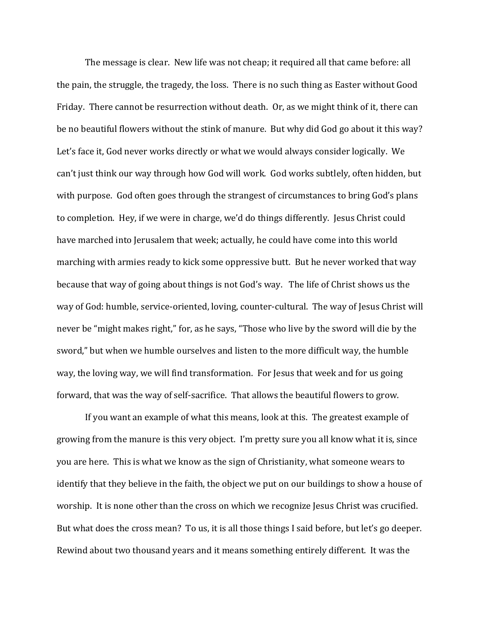The message is clear. New life was not cheap; it required all that came before: all the pain, the struggle, the tragedy, the loss. There is no such thing as Easter without Good Friday. There cannot be resurrection without death. Or, as we might think of it, there can be no beautiful flowers without the stink of manure. But why did God go about it this way? Let's face it, God never works directly or what we would always consider logically. We can't just think our way through how God will work. God works subtlely, often hidden, but with purpose. God often goes through the strangest of circumstances to bring God's plans to completion. Hey, if we were in charge, we'd do things differently. Jesus Christ could have marched into Jerusalem that week; actually, he could have come into this world marching with armies ready to kick some oppressive butt. But he never worked that way because that way of going about things is not God's way. The life of Christ shows us the way of God: humble, service-oriented, loving, counter-cultural. The way of Jesus Christ will never be "might makes right," for, as he says, "Those who live by the sword will die by the sword," but when we humble ourselves and listen to the more difficult way, the humble way, the loving way, we will find transformation. For Jesus that week and for us going forward, that was the way of self-sacrifice. That allows the beautiful flowers to grow.

If you want an example of what this means, look at this. The greatest example of growing from the manure is this very object. I'm pretty sure you all know what it is, since you are here. This is what we know as the sign of Christianity, what someone wears to identify that they believe in the faith, the object we put on our buildings to show a house of worship. It is none other than the cross on which we recognize Jesus Christ was crucified. But what does the cross mean? To us, it is all those things I said before, but let's go deeper. Rewind about two thousand years and it means something entirely different. It was the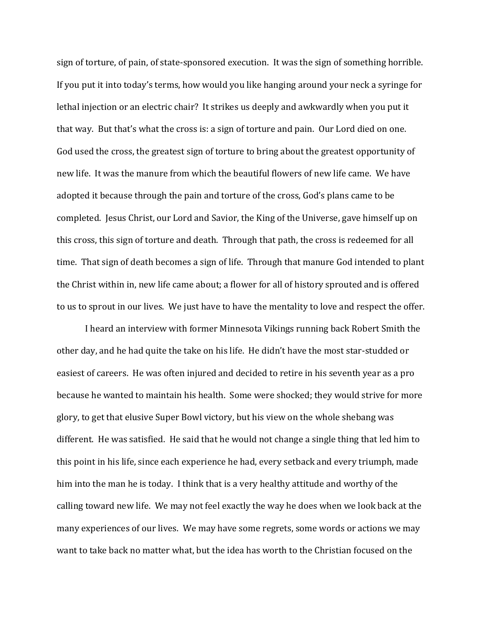sign of torture, of pain, of state-sponsored execution. It was the sign of something horrible. If you put it into today's terms, how would you like hanging around your neck a syringe for lethal injection or an electric chair? It strikes us deeply and awkwardly when you put it that way. But that's what the cross is: a sign of torture and pain. Our Lord died on one. God used the cross, the greatest sign of torture to bring about the greatest opportunity of new life. It was the manure from which the beautiful flowers of new life came. We have adopted it because through the pain and torture of the cross, God's plans came to be completed. Jesus Christ, our Lord and Savior, the King of the Universe, gave himself up on this cross, this sign of torture and death. Through that path, the cross is redeemed for all time. That sign of death becomes a sign of life. Through that manure God intended to plant the Christ within in, new life came about; a flower for all of history sprouted and is offered to us to sprout in our lives. We just have to have the mentality to love and respect the offer.

I heard an interview with former Minnesota Vikings running back Robert Smith the other day, and he had quite the take on his life. He didn't have the most star-studded or easiest of careers. He was often injured and decided to retire in his seventh year as a pro because he wanted to maintain his health. Some were shocked; they would strive for more glory, to get that elusive Super Bowl victory, but his view on the whole shebang was different. He was satisfied. He said that he would not change a single thing that led him to this point in his life, since each experience he had, every setback and every triumph, made him into the man he is today. I think that is a very healthy attitude and worthy of the calling toward new life. We may not feel exactly the way he does when we look back at the many experiences of our lives. We may have some regrets, some words or actions we may want to take back no matter what, but the idea has worth to the Christian focused on the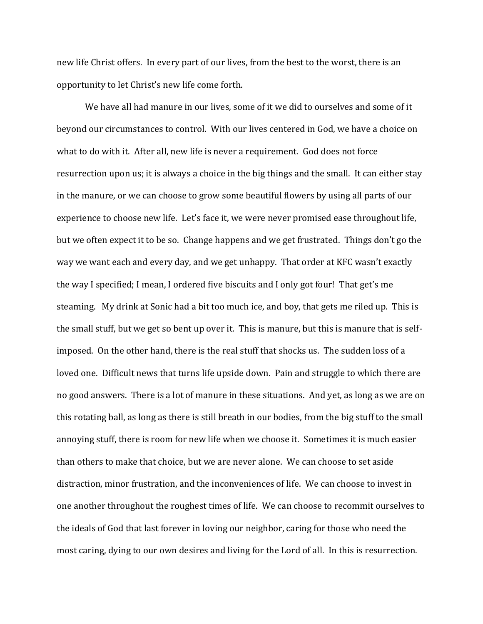new life Christ offers. In every part of our lives, from the best to the worst, there is an opportunity to let Christ's new life come forth.

We have all had manure in our lives, some of it we did to ourselves and some of it beyond our circumstances to control. With our lives centered in God, we have a choice on what to do with it. After all, new life is never a requirement. God does not force resurrection upon us; it is always a choice in the big things and the small. It can either stay in the manure, or we can choose to grow some beautiful flowers by using all parts of our experience to choose new life. Let's face it, we were never promised ease throughout life, but we often expect it to be so. Change happens and we get frustrated. Things don't go the way we want each and every day, and we get unhappy. That order at KFC wasn't exactly the way I specified; I mean, I ordered five biscuits and I only got four! That get's me steaming. My drink at Sonic had a bit too much ice, and boy, that gets me riled up. This is the small stuff, but we get so bent up over it. This is manure, but this is manure that is selfimposed. On the other hand, there is the real stuff that shocks us. The sudden loss of a loved one. Difficult news that turns life upside down. Pain and struggle to which there are no good answers. There is a lot of manure in these situations. And yet, as long as we are on this rotating ball, as long as there is still breath in our bodies, from the big stuff to the small annoying stuff, there is room for new life when we choose it. Sometimes it is much easier than others to make that choice, but we are never alone. We can choose to set aside distraction, minor frustration, and the inconveniences of life. We can choose to invest in one another throughout the roughest times of life. We can choose to recommit ourselves to the ideals of God that last forever in loving our neighbor, caring for those who need the most caring, dying to our own desires and living for the Lord of all. In this is resurrection.